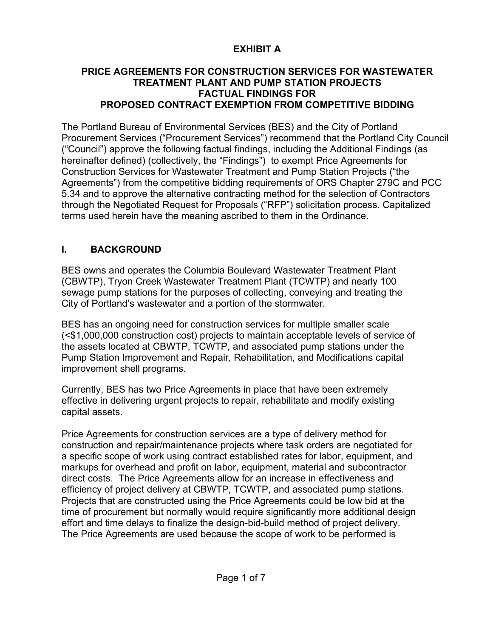# **EXHIBIT A**

### **PRICE AGREEMENTS FOR CONSTRUCTION SERVICES FOR WASTEWATER TREATMENT PLANT AND PUMP STATION PROJECTS FACTUAL FINDINGS FOR PROPOSED CONTRACT EXEMPTION FROM COMPETITIVE BIDDING**

The Portland Bureau of Environmental Services (BES) and the City of Portland Procurement Services ("Procurement Services") recommend that the Portland City Council ("Council") approve the following factual findings, including the Additional Findings (as hereinafter defined) (collectively, the "Findings") to exempt Price Agreements for Construction Services for Wastewater Treatment and Pump Station Projects ("the Agreements") from the competitive bidding requirements of ORS Chapter 279C and PCC 5.34 and to approve the alternative contracting method for the selection of Contractors through the Negotiated Request for Proposals ("RFP") solicitation process. Capitalized terms used herein have the meaning ascribed to them in the Ordinance.

# **I. BACKGROUND**

BES owns and operates the Columbia Boulevard Wastewater Treatment Plant (CBWTP), Tryon Creek Wastewater Treatment Plant (TCWTP) and nearly 100 sewage pump stations for the purposes of collecting, conveying and treating the City of Portland's wastewater and a portion of the stormwater.

BES has an ongoing need for construction services for multiple smaller scale (<\$1,000,000 construction cost) projects to maintain acceptable levels of service of the assets located at CBWTP, TCWTP, and associated pump stations under the Pump Station Improvement and Repair, Rehabilitation, and Modifications capital improvement shell programs.

Currently, BES has two Price Agreements in place that have been extremely effective in delivering urgent projects to repair, rehabilitate and modify existing capital assets.

Price Agreements for construction services are a type of delivery method for construction and repair/maintenance projects where task orders are negotiated for a specific scope of work using contract established rates for labor, equipment, and markups for overhead and profit on labor, equipment, material and subcontractor direct costs. The Price Agreements allow for an increase in effectiveness and efficiency of project delivery at CBWTP, TCWTP, and associated pump stations. Projects that are constructed using the Price Agreements could be low bid at the time of procurement but normally would require significantly more additional design effort and time delays to finalize the design-bid-build method of project delivery. The Price Agreements are used because the scope of work to be performed is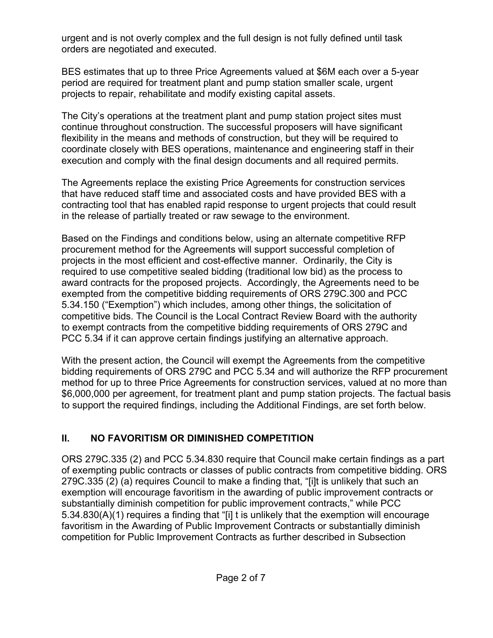urgent and is not overly complex and the full design is not fully defined until task orders are negotiated and executed.

BES estimates that up to three Price Agreements valued at \$6M each over a 5-year period are required for treatment plant and pump station smaller scale, urgent projects to repair, rehabilitate and modify existing capital assets.

The City's operations at the treatment plant and pump station project sites must continue throughout construction. The successful proposers will have significant flexibility in the means and methods of construction, but they will be required to coordinate closely with BES operations, maintenance and engineering staff in their execution and comply with the final design documents and all required permits.

The Agreements replace the existing Price Agreements for construction services that have reduced staff time and associated costs and have provided BES with a contracting tool that has enabled rapid response to urgent projects that could result in the release of partially treated or raw sewage to the environment.

Based on the Findings and conditions below, using an alternate competitive RFP procurement method for the Agreements will support successful completion of projects in the most efficient and cost-effective manner. Ordinarily, the City is required to use competitive sealed bidding (traditional low bid) as the process to award contracts for the proposed projects. Accordingly, the Agreements need to be exempted from the competitive bidding requirements of ORS 279C.300 and PCC 5.34.150 ("Exemption") which includes, among other things, the solicitation of competitive bids. The Council is the Local Contract Review Board with the authority to exempt contracts from the competitive bidding requirements of ORS 279C and PCC 5.34 if it can approve certain findings justifying an alternative approach.

With the present action, the Council will exempt the Agreements from the competitive bidding requirements of ORS 279C and PCC 5.34 and will authorize the RFP procurement method for up to three Price Agreements for construction services, valued at no more than \$6,000,000 per agreement, for treatment plant and pump station projects. The factual basis to support the required findings, including the Additional Findings, are set forth below.

# **II. NO FAVORITISM OR DIMINISHED COMPETITION**

ORS 279C.335 (2) and PCC 5.34.830 require that Council make certain findings as a part of exempting public contracts or classes of public contracts from competitive bidding. ORS 279C.335 (2) (a) requires Council to make a finding that, "[i]t is unlikely that such an exemption will encourage favoritism in the awarding of public improvement contracts or substantially diminish competition for public improvement contracts," while PCC 5.34.830(A)(1) requires a finding that "[i] t is unlikely that the exemption will encourage favoritism in the Awarding of Public Improvement Contracts or substantially diminish competition for Public Improvement Contracts as further described in Subsection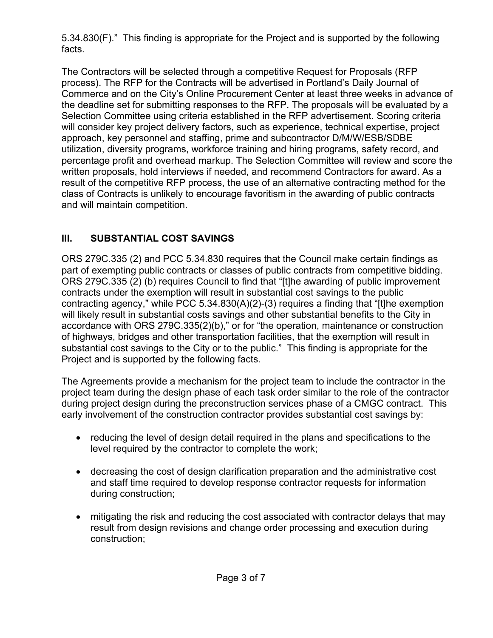5.34.830(F)." This finding is appropriate for the Project and is supported by the following facts.

The Contractors will be selected through a competitive Request for Proposals (RFP process). The RFP for the Contracts will be advertised in Portland's Daily Journal of Commerce and on the City's Online Procurement Center at least three weeks in advance of the deadline set for submitting responses to the RFP. The proposals will be evaluated by a Selection Committee using criteria established in the RFP advertisement. Scoring criteria will consider key project delivery factors, such as experience, technical expertise, project approach, key personnel and staffing, prime and subcontractor D/M/W/ESB/SDBE utilization, diversity programs, workforce training and hiring programs, safety record, and percentage profit and overhead markup. The Selection Committee will review and score the written proposals, hold interviews if needed, and recommend Contractors for award. As a result of the competitive RFP process, the use of an alternative contracting method for the class of Contracts is unlikely to encourage favoritism in the awarding of public contracts and will maintain competition.

## **III. SUBSTANTIAL COST SAVINGS**

ORS 279C.335 (2) and PCC 5.34.830 requires that the Council make certain findings as part of exempting public contracts or classes of public contracts from competitive bidding. ORS 279C.335 (2) (b) requires Council to find that "[t]he awarding of public improvement contracts under the exemption will result in substantial cost savings to the public contracting agency," while PCC 5.34.830(A)(2)-(3) requires a finding that "[t]he exemption will likely result in substantial costs savings and other substantial benefits to the City in accordance with ORS 279C.335(2)(b)," or for "the operation, maintenance or construction of highways, bridges and other transportation facilities, that the exemption will result in substantial cost savings to the City or to the public." This finding is appropriate for the Project and is supported by the following facts.

The Agreements provide a mechanism for the project team to include the contractor in the project team during the design phase of each task order similar to the role of the contractor during project design during the preconstruction services phase of a CMGC contract. This early involvement of the construction contractor provides substantial cost savings by:

- reducing the level of design detail required in the plans and specifications to the level required by the contractor to complete the work;
- decreasing the cost of design clarification preparation and the administrative cost and staff time required to develop response contractor requests for information during construction;
- mitigating the risk and reducing the cost associated with contractor delays that may result from design revisions and change order processing and execution during construction;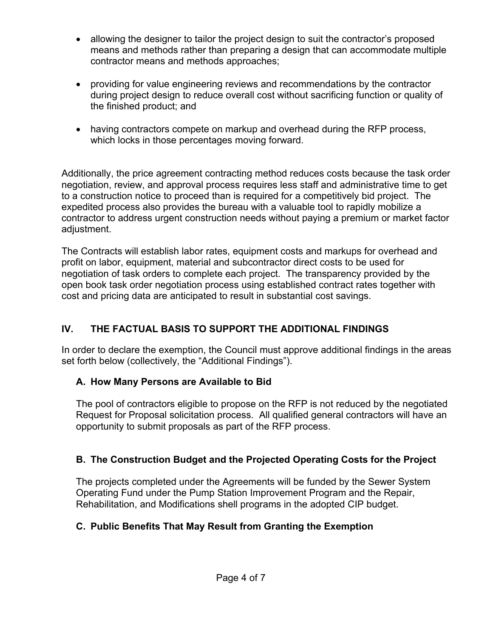- allowing the designer to tailor the project design to suit the contractor's proposed means and methods rather than preparing a design that can accommodate multiple contractor means and methods approaches;
- providing for value engineering reviews and recommendations by the contractor during project design to reduce overall cost without sacrificing function or quality of the finished product; and
- having contractors compete on markup and overhead during the RFP process, which locks in those percentages moving forward.

Additionally, the price agreement contracting method reduces costs because the task order negotiation, review, and approval process requires less staff and administrative time to get to a construction notice to proceed than is required for a competitively bid project. The expedited process also provides the bureau with a valuable tool to rapidly mobilize a contractor to address urgent construction needs without paying a premium or market factor adjustment.

The Contracts will establish labor rates, equipment costs and markups for overhead and profit on labor, equipment, material and subcontractor direct costs to be used for negotiation of task orders to complete each project. The transparency provided by the open book task order negotiation process using established contract rates together with cost and pricing data are anticipated to result in substantial cost savings.

# **IV. THE FACTUAL BASIS TO SUPPORT THE ADDITIONAL FINDINGS**

In order to declare the exemption, the Council must approve additional findings in the areas set forth below (collectively, the "Additional Findings").

# **A. How Many Persons are Available to Bid**

The pool of contractors eligible to propose on the RFP is not reduced by the negotiated Request for Proposal solicitation process. All qualified general contractors will have an opportunity to submit proposals as part of the RFP process.

# **B. The Construction Budget and the Projected Operating Costs for the Project**

The projects completed under the Agreements will be funded by the Sewer System Operating Fund under the Pump Station Improvement Program and the Repair, Rehabilitation, and Modifications shell programs in the adopted CIP budget.

# **C. Public Benefits That May Result from Granting the Exemption**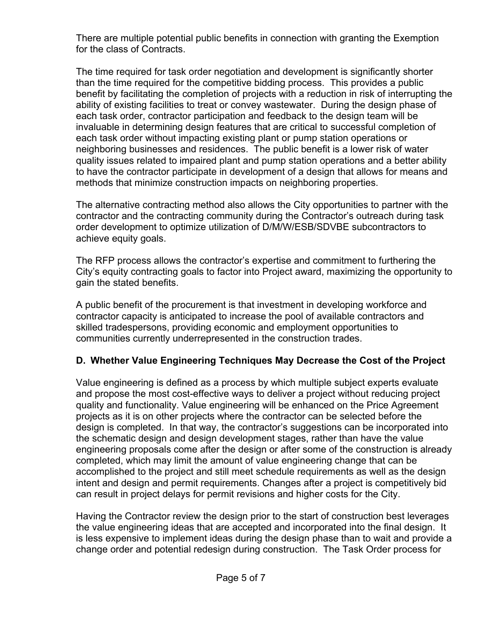There are multiple potential public benefits in connection with granting the Exemption for the class of Contracts.

The time required for task order negotiation and development is significantly shorter than the time required for the competitive bidding process. This provides a public benefit by facilitating the completion of projects with a reduction in risk of interrupting the ability of existing facilities to treat or convey wastewater. During the design phase of each task order, contractor participation and feedback to the design team will be invaluable in determining design features that are critical to successful completion of each task order without impacting existing plant or pump station operations or neighboring businesses and residences. The public benefit is a lower risk of water quality issues related to impaired plant and pump station operations and a better ability to have the contractor participate in development of a design that allows for means and methods that minimize construction impacts on neighboring properties.

The alternative contracting method also allows the City opportunities to partner with the contractor and the contracting community during the Contractor's outreach during task order development to optimize utilization of D/M/W/ESB/SDVBE subcontractors to achieve equity goals.

The RFP process allows the contractor's expertise and commitment to furthering the City's equity contracting goals to factor into Project award, maximizing the opportunity to gain the stated benefits.

A public benefit of the procurement is that investment in developing workforce and contractor capacity is anticipated to increase the pool of available contractors and skilled tradespersons, providing economic and employment opportunities to communities currently underrepresented in the construction trades.

### **D. Whether Value Engineering Techniques May Decrease the Cost of the Project**

Value engineering is defined as a process by which multiple subject experts evaluate and propose the most cost-effective ways to deliver a project without reducing project quality and functionality. Value engineering will be enhanced on the Price Agreement projects as it is on other projects where the contractor can be selected before the design is completed. In that way, the contractor's suggestions can be incorporated into the schematic design and design development stages, rather than have the value engineering proposals come after the design or after some of the construction is already completed, which may limit the amount of value engineering change that can be accomplished to the project and still meet schedule requirements as well as the design intent and design and permit requirements. Changes after a project is competitively bid can result in project delays for permit revisions and higher costs for the City.

Having the Contractor review the design prior to the start of construction best leverages the value engineering ideas that are accepted and incorporated into the final design. It is less expensive to implement ideas during the design phase than to wait and provide a change order and potential redesign during construction. The Task Order process for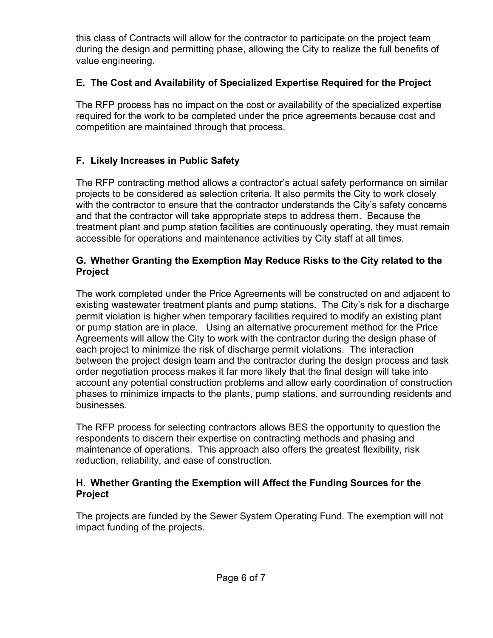this class of Contracts will allow for the contractor to participate on the project team during the design and permitting phase, allowing the City to realize the full benefits of value engineering.

## **E. The Cost and Availability of Specialized Expertise Required for the Project**

The RFP process has no impact on the cost or availability of the specialized expertise required for the work to be completed under the price agreements because cost and competition are maintained through that process.

## **F. Likely Increases in Public Safety**

The RFP contracting method allows a contractor's actual safety performance on similar projects to be considered as selection criteria. It also permits the City to work closely with the contractor to ensure that the contractor understands the City's safety concerns and that the contractor will take appropriate steps to address them. Because the treatment plant and pump station facilities are continuously operating, they must remain accessible for operations and maintenance activities by City staff at all times.

### **G. Whether Granting the Exemption May Reduce Risks to the City related to the Project**

The work completed under the Price Agreements will be constructed on and adjacent to existing wastewater treatment plants and pump stations. The City's risk for a discharge permit violation is higher when temporary facilities required to modify an existing plant or pump station are in place. Using an alternative procurement method for the Price Agreements will allow the City to work with the contractor during the design phase of each project to minimize the risk of discharge permit violations. The interaction between the project design team and the contractor during the design process and task order negotiation process makes it far more likely that the final design will take into account any potential construction problems and allow early coordination of construction phases to minimize impacts to the plants, pump stations, and surrounding residents and businesses.

The RFP process for selecting contractors allows BES the opportunity to question the respondents to discern their expertise on contracting methods and phasing and maintenance of operations. This approach also offers the greatest flexibility, risk reduction, reliability, and ease of construction.

#### **H. Whether Granting the Exemption will Affect the Funding Sources for the Project**

The projects are funded by the Sewer System Operating Fund. The exemption will not impact funding of the projects.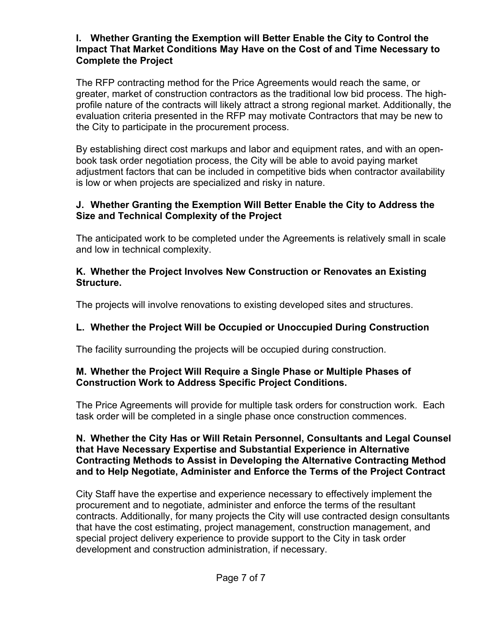#### **I. Whether Granting the Exemption will Better Enable the City to Control the Impact That Market Conditions May Have on the Cost of and Time Necessary to Complete the Project**

The RFP contracting method for the Price Agreements would reach the same, or greater, market of construction contractors as the traditional low bid process. The highprofile nature of the contracts will likely attract a strong regional market. Additionally, the evaluation criteria presented in the RFP may motivate Contractors that may be new to the City to participate in the procurement process.

By establishing direct cost markups and labor and equipment rates, and with an openbook task order negotiation process, the City will be able to avoid paying market adjustment factors that can be included in competitive bids when contractor availability is low or when projects are specialized and risky in nature.

### **J. Whether Granting the Exemption Will Better Enable the City to Address the Size and Technical Complexity of the Project**

The anticipated work to be completed under the Agreements is relatively small in scale and low in technical complexity.

### **K. Whether the Project Involves New Construction or Renovates an Existing Structure.**

The projects will involve renovations to existing developed sites and structures.

# **L. Whether the Project Will be Occupied or Unoccupied During Construction**

The facility surrounding the projects will be occupied during construction.

### **M. Whether the Project Will Require a Single Phase or Multiple Phases of Construction Work to Address Specific Project Conditions.**

The Price Agreements will provide for multiple task orders for construction work. Each task order will be completed in a single phase once construction commences.

#### **N. Whether the City Has or Will Retain Personnel, Consultants and Legal Counsel that Have Necessary Expertise and Substantial Experience in Alternative Contracting Methods to Assist in Developing the Alternative Contracting Method and to Help Negotiate, Administer and Enforce the Terms of the Project Contract**

City Staff have the expertise and experience necessary to effectively implement the procurement and to negotiate, administer and enforce the terms of the resultant contracts. Additionally, for many projects the City will use contracted design consultants that have the cost estimating, project management, construction management, and special project delivery experience to provide support to the City in task order development and construction administration, if necessary.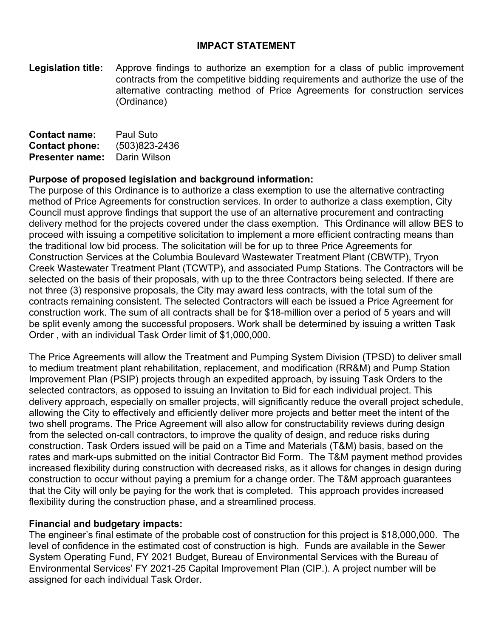#### **IMPACT STATEMENT**

**Legislation title:** Approve findings to authorize an exemption for a class of public improvement contracts from the competitive bidding requirements and authorize the use of the alternative contracting method of Price Agreements for construction services (Ordinance)

| <b>Contact name:</b>   | Paul Suto     |
|------------------------|---------------|
| <b>Contact phone:</b>  | (503)823-2436 |
| <b>Presenter name:</b> | Darin Wilson  |

#### **Purpose of proposed legislation and background information:**

The purpose of this Ordinance is to authorize a class exemption to use the alternative contracting method of Price Agreements for construction services. In order to authorize a class exemption, City Council must approve findings that support the use of an alternative procurement and contracting delivery method for the projects covered under the class exemption. This Ordinance will allow BES to proceed with issuing a competitive solicitation to implement a more efficient contracting means than the traditional low bid process. The solicitation will be for up to three Price Agreements for Construction Services at the Columbia Boulevard Wastewater Treatment Plant (CBWTP), Tryon Creek Wastewater Treatment Plant (TCWTP), and associated Pump Stations. The Contractors will be selected on the basis of their proposals, with up to the three Contractors being selected. If there are not three (3) responsive proposals, the City may award less contracts, with the total sum of the contracts remaining consistent. The selected Contractors will each be issued a Price Agreement for construction work. The sum of all contracts shall be for \$18-million over a period of 5 years and will be split evenly among the successful proposers. Work shall be determined by issuing a written Task Order , with an individual Task Order limit of \$1,000,000.

The Price Agreements will allow the Treatment and Pumping System Division (TPSD) to deliver small to medium treatment plant rehabilitation, replacement, and modification (RR&M) and Pump Station Improvement Plan (PSIP) projects through an expedited approach, by issuing Task Orders to the selected contractors, as opposed to issuing an Invitation to Bid for each individual project. This delivery approach, especially on smaller projects, will significantly reduce the overall project schedule, allowing the City to effectively and efficiently deliver more projects and better meet the intent of the two shell programs. The Price Agreement will also allow for constructability reviews during design from the selected on-call contractors, to improve the quality of design, and reduce risks during construction. Task Orders issued will be paid on a Time and Materials (T&M) basis, based on the rates and mark-ups submitted on the initial Contractor Bid Form. The T&M payment method provides increased flexibility during construction with decreased risks, as it allows for changes in design during construction to occur without paying a premium for a change order. The T&M approach guarantees that the City will only be paying for the work that is completed. This approach provides increased flexibility during the construction phase, and a streamlined process.

#### **Financial and budgetary impacts:**

The engineer's final estimate of the probable cost of construction for this project is \$18,000,000. The level of confidence in the estimated cost of construction is high. Funds are available in the Sewer System Operating Fund, FY 2021 Budget, Bureau of Environmental Services with the Bureau of Environmental Services' FY 2021-25 Capital Improvement Plan (CIP.). A project number will be assigned for each individual Task Order.